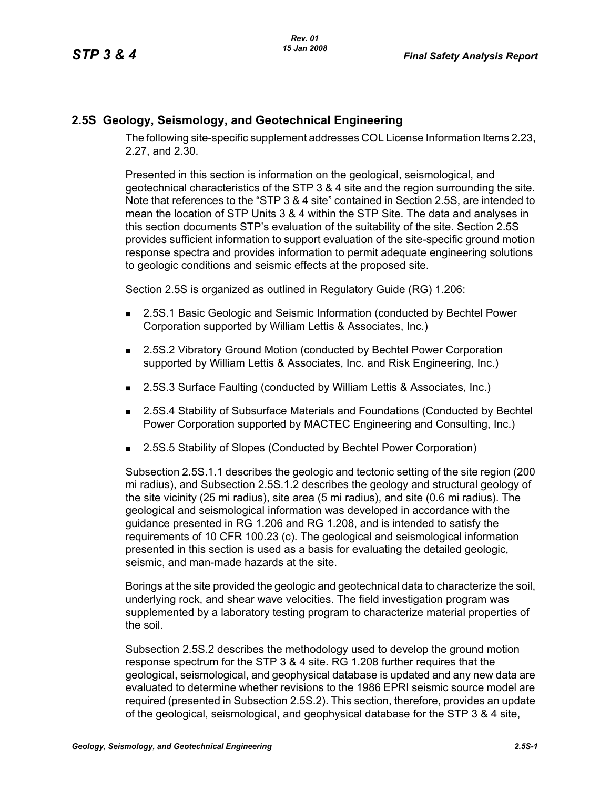## **2.5S Geology, Seismology, and Geotechnical Engineering**

The following site-specific supplement addresses COL License Information Items 2.23, 2.27, and 2.30.

Presented in this section is information on the geological, seismological, and geotechnical characteristics of the STP 3 & 4 site and the region surrounding the site. Note that references to the "STP 3 & 4 site" contained in Section 2.5S, are intended to mean the location of STP Units 3 & 4 within the STP Site. The data and analyses in this section documents STP's evaluation of the suitability of the site. Section 2.5S provides sufficient information to support evaluation of the site-specific ground motion response spectra and provides information to permit adequate engineering solutions to geologic conditions and seismic effects at the proposed site.

Section 2.5S is organized as outlined in Regulatory Guide (RG) 1.206:

- **2.5S.1 Basic Geologic and Seismic Information (conducted by Bechtel Power** Corporation supported by William Lettis & Associates, Inc.)
- 2.5S.2 Vibratory Ground Motion (conducted by Bechtel Power Corporation supported by William Lettis & Associates, Inc. and Risk Engineering, Inc.)
- 2.5S.3 Surface Faulting (conducted by William Lettis & Associates, Inc.)
- 2.5S.4 Stability of Subsurface Materials and Foundations (Conducted by Bechtel Power Corporation supported by MACTEC Engineering and Consulting, Inc.)
- 2.5S.5 Stability of Slopes (Conducted by Bechtel Power Corporation)

Subsection 2.5S.1.1 describes the geologic and tectonic setting of the site region (200 mi radius), and Subsection 2.5S.1.2 describes the geology and structural geology of the site vicinity (25 mi radius), site area (5 mi radius), and site (0.6 mi radius). The geological and seismological information was developed in accordance with the guidance presented in RG 1.206 and RG 1.208, and is intended to satisfy the requirements of 10 CFR 100.23 (c). The geological and seismological information presented in this section is used as a basis for evaluating the detailed geologic, seismic, and man-made hazards at the site.

Borings at the site provided the geologic and geotechnical data to characterize the soil, underlying rock, and shear wave velocities. The field investigation program was supplemented by a laboratory testing program to characterize material properties of the soil.

Subsection 2.5S.2 describes the methodology used to develop the ground motion response spectrum for the STP 3 & 4 site. RG 1.208 further requires that the geological, seismological, and geophysical database is updated and any new data are evaluated to determine whether revisions to the 1986 EPRI seismic source model are required (presented in Subsection 2.5S.2). This section, therefore, provides an update of the geological, seismological, and geophysical database for the STP 3 & 4 site,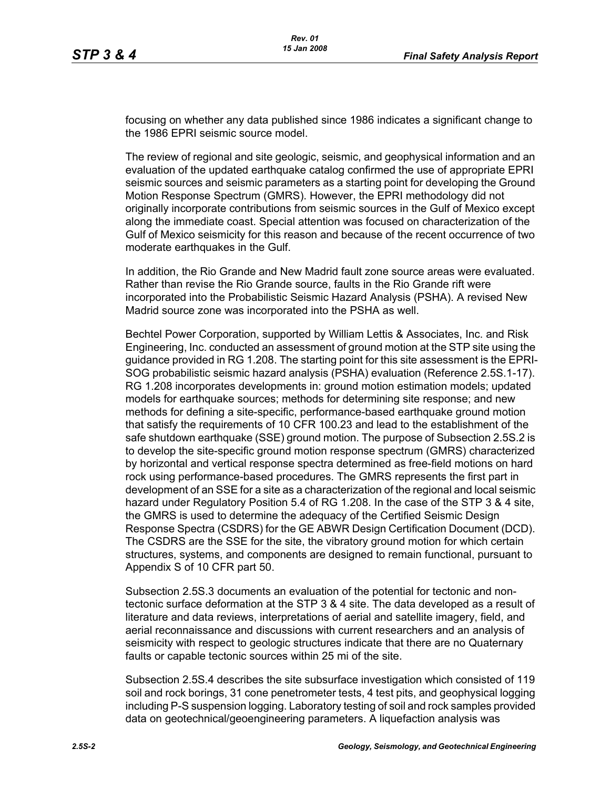focusing on whether any data published since 1986 indicates a significant change to the 1986 EPRI seismic source model.

The review of regional and site geologic, seismic, and geophysical information and an evaluation of the updated earthquake catalog confirmed the use of appropriate EPRI seismic sources and seismic parameters as a starting point for developing the Ground Motion Response Spectrum (GMRS). However, the EPRI methodology did not originally incorporate contributions from seismic sources in the Gulf of Mexico except along the immediate coast. Special attention was focused on characterization of the Gulf of Mexico seismicity for this reason and because of the recent occurrence of two moderate earthquakes in the Gulf.

In addition, the Rio Grande and New Madrid fault zone source areas were evaluated. Rather than revise the Rio Grande source, faults in the Rio Grande rift were incorporated into the Probabilistic Seismic Hazard Analysis (PSHA). A revised New Madrid source zone was incorporated into the PSHA as well.

Bechtel Power Corporation, supported by William Lettis & Associates, Inc. and Risk Engineering, Inc. conducted an assessment of ground motion at the STP site using the guidance provided in RG 1.208. The starting point for this site assessment is the EPRI-SOG probabilistic seismic hazard analysis (PSHA) evaluation (Reference 2.5S.1-17). RG 1.208 incorporates developments in: ground motion estimation models; updated models for earthquake sources; methods for determining site response; and new methods for defining a site-specific, performance-based earthquake ground motion that satisfy the requirements of 10 CFR 100.23 and lead to the establishment of the safe shutdown earthquake (SSE) ground motion. The purpose of Subsection 2.5S.2 is to develop the site-specific ground motion response spectrum (GMRS) characterized by horizontal and vertical response spectra determined as free-field motions on hard rock using performance-based procedures. The GMRS represents the first part in development of an SSE for a site as a characterization of the regional and local seismic hazard under Regulatory Position 5.4 of RG 1.208. In the case of the STP 3 & 4 site, the GMRS is used to determine the adequacy of the Certified Seismic Design Response Spectra (CSDRS) for the GE ABWR Design Certification Document (DCD). The CSDRS are the SSE for the site, the vibratory ground motion for which certain structures, systems, and components are designed to remain functional, pursuant to Appendix S of 10 CFR part 50.

Subsection 2.5S.3 documents an evaluation of the potential for tectonic and nontectonic surface deformation at the STP 3 & 4 site. The data developed as a result of literature and data reviews, interpretations of aerial and satellite imagery, field, and aerial reconnaissance and discussions with current researchers and an analysis of seismicity with respect to geologic structures indicate that there are no Quaternary faults or capable tectonic sources within 25 mi of the site.

Subsection 2.5S.4 describes the site subsurface investigation which consisted of 119 soil and rock borings, 31 cone penetrometer tests, 4 test pits, and geophysical logging including P-S suspension logging. Laboratory testing of soil and rock samples provided data on geotechnical/geoengineering parameters. A liquefaction analysis was